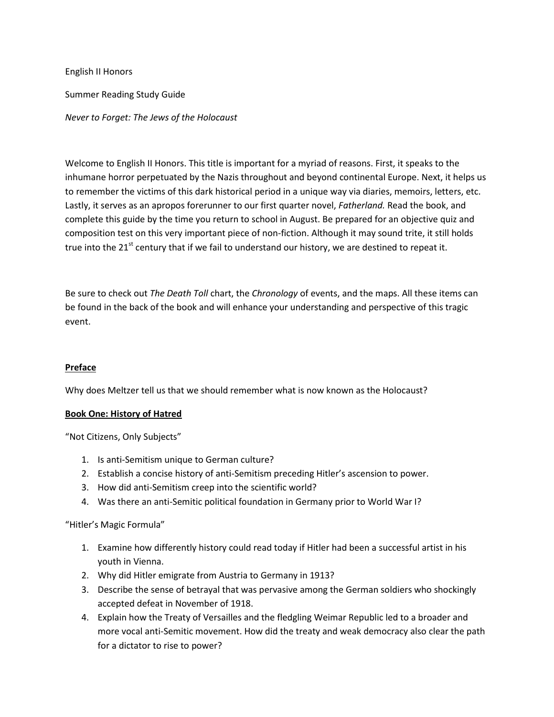English II Honors

Summer Reading Study Guide

*Never to Forget: The Jews of the Holocaust*

Welcome to English II Honors. This title is important for a myriad of reasons. First, it speaks to the inhumane horror perpetuated by the Nazis throughout and beyond continental Europe. Next, it helps us to remember the victims of this dark historical period in a unique way via diaries, memoirs, letters, etc. Lastly, it serves as an apropos forerunner to our first quarter novel, *Fatherland.* Read the book, and complete this guide by the time you return to school in August. Be prepared for an objective quiz and composition test on this very important piece of non-fiction. Although it may sound trite, it still holds true into the 21<sup>st</sup> century that if we fail to understand our history, we are destined to repeat it.

Be sure to check out *The Death Toll* chart, the *Chronology* of events, and the maps. All these items can be found in the back of the book and will enhance your understanding and perspective of this tragic event.

#### **Preface**

Why does Meltzer tell us that we should remember what is now known as the Holocaust?

#### **Book One: History of Hatred**

"Not Citizens, Only Subjects"

- 1. Is anti-Semitism unique to German culture?
- 2. Establish a concise history of anti-Semitism preceding Hitler's ascension to power.
- 3. How did anti-Semitism creep into the scientific world?
- 4. Was there an anti-Semitic political foundation in Germany prior to World War I?

"Hitler's Magic Formula"

- 1. Examine how differently history could read today if Hitler had been a successful artist in his youth in Vienna.
- 2. Why did Hitler emigrate from Austria to Germany in 1913?
- 3. Describe the sense of betrayal that was pervasive among the German soldiers who shockingly accepted defeat in November of 1918.
- 4. Explain how the Treaty of Versailles and the fledgling Weimar Republic led to a broader and more vocal anti-Semitic movement. How did the treaty and weak democracy also clear the path for a dictator to rise to power?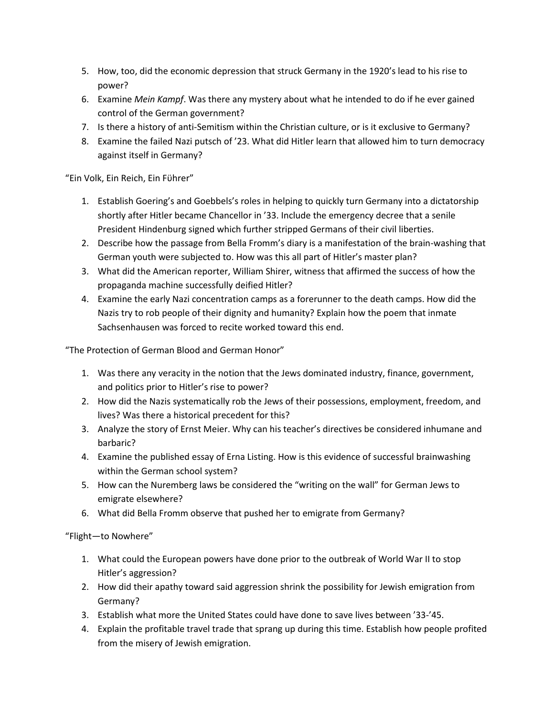- 5. How, too, did the economic depression that struck Germany in the 1920's lead to his rise to power?
- 6. Examine *Mein Kampf*. Was there any mystery about what he intended to do if he ever gained control of the German government?
- 7. Is there a history of anti-Semitism within the Christian culture, or is it exclusive to Germany?
- 8. Examine the failed Nazi putsch of '23. What did Hitler learn that allowed him to turn democracy against itself in Germany?

"Ein Volk, Ein Reich, Ein Fϋhrer"

- 1. Establish Goering's and Goebbels's roles in helping to quickly turn Germany into a dictatorship shortly after Hitler became Chancellor in '33. Include the emergency decree that a senile President Hindenburg signed which further stripped Germans of their civil liberties.
- 2. Describe how the passage from Bella Fromm's diary is a manifestation of the brain-washing that German youth were subjected to. How was this all part of Hitler's master plan?
- 3. What did the American reporter, William Shirer, witness that affirmed the success of how the propaganda machine successfully deified Hitler?
- 4. Examine the early Nazi concentration camps as a forerunner to the death camps. How did the Nazis try to rob people of their dignity and humanity? Explain how the poem that inmate Sachsenhausen was forced to recite worked toward this end.

"The Protection of German Blood and German Honor"

- 1. Was there any veracity in the notion that the Jews dominated industry, finance, government, and politics prior to Hitler's rise to power?
- 2. How did the Nazis systematically rob the Jews of their possessions, employment, freedom, and lives? Was there a historical precedent for this?
- 3. Analyze the story of Ernst Meier. Why can his teacher's directives be considered inhumane and barbaric?
- 4. Examine the published essay of Erna Listing. How is this evidence of successful brainwashing within the German school system?
- 5. How can the Nuremberg laws be considered the "writing on the wall" for German Jews to emigrate elsewhere?
- 6. What did Bella Fromm observe that pushed her to emigrate from Germany?

"Flight—to Nowhere"

- 1. What could the European powers have done prior to the outbreak of World War II to stop Hitler's aggression?
- 2. How did their apathy toward said aggression shrink the possibility for Jewish emigration from Germany?
- 3. Establish what more the United States could have done to save lives between '33-'45.
- 4. Explain the profitable travel trade that sprang up during this time. Establish how people profited from the misery of Jewish emigration.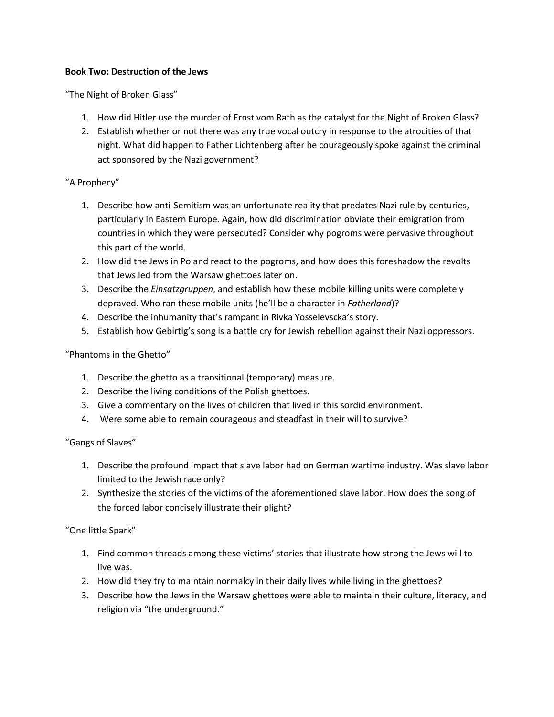## **Book Two: Destruction of the Jews**

"The Night of Broken Glass"

- 1. How did Hitler use the murder of Ernst vom Rath as the catalyst for the Night of Broken Glass?
- 2. Establish whether or not there was any true vocal outcry in response to the atrocities of that night. What did happen to Father Lichtenberg after he courageously spoke against the criminal act sponsored by the Nazi government?

## "A Prophecy"

- 1. Describe how anti-Semitism was an unfortunate reality that predates Nazi rule by centuries, particularly in Eastern Europe. Again, how did discrimination obviate their emigration from countries in which they were persecuted? Consider why pogroms were pervasive throughout this part of the world.
- 2. How did the Jews in Poland react to the pogroms, and how does this foreshadow the revolts that Jews led from the Warsaw ghettoes later on.
- 3. Describe the *Einsatzgruppen*, and establish how these mobile killing units were completely depraved. Who ran these mobile units (he'll be a character in *Fatherland*)?
- 4. Describe the inhumanity that's rampant in Rivka Yosselevscka's story.
- 5. Establish how Gebirtig's song is a battle cry for Jewish rebellion against their Nazi oppressors.

## "Phantoms in the Ghetto"

- 1. Describe the ghetto as a transitional (temporary) measure.
- 2. Describe the living conditions of the Polish ghettoes.
- 3. Give a commentary on the lives of children that lived in this sordid environment.
- 4. Were some able to remain courageous and steadfast in their will to survive?

#### "Gangs of Slaves"

- 1. Describe the profound impact that slave labor had on German wartime industry. Was slave labor limited to the Jewish race only?
- 2. Synthesize the stories of the victims of the aforementioned slave labor. How does the song of the forced labor concisely illustrate their plight?

# "One little Spark"

- 1. Find common threads among these victims' stories that illustrate how strong the Jews will to live was.
- 2. How did they try to maintain normalcy in their daily lives while living in the ghettoes?
- 3. Describe how the Jews in the Warsaw ghettoes were able to maintain their culture, literacy, and religion via "the underground."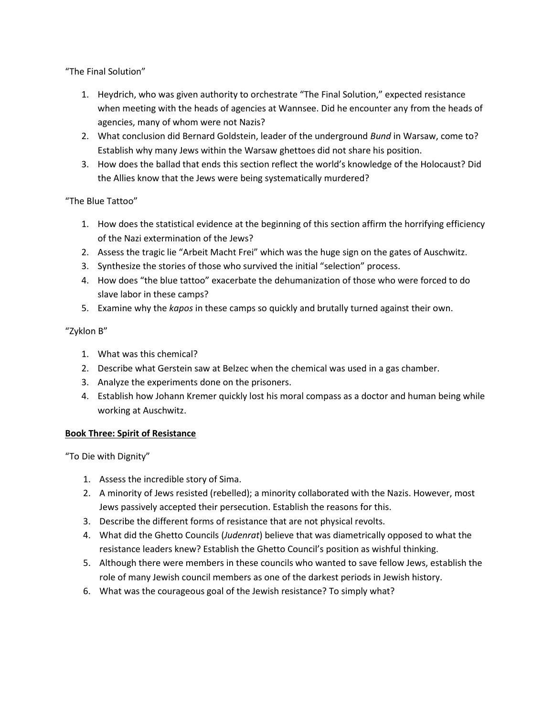"The Final Solution"

- 1. Heydrich, who was given authority to orchestrate "The Final Solution," expected resistance when meeting with the heads of agencies at Wannsee. Did he encounter any from the heads of agencies, many of whom were not Nazis?
- 2. What conclusion did Bernard Goldstein, leader of the underground *Bund* in Warsaw, come to? Establish why many Jews within the Warsaw ghettoes did not share his position.
- 3. How does the ballad that ends this section reflect the world's knowledge of the Holocaust? Did the Allies know that the Jews were being systematically murdered?

# "The Blue Tattoo"

- 1. How does the statistical evidence at the beginning of this section affirm the horrifying efficiency of the Nazi extermination of the Jews?
- 2. Assess the tragic lie "Arbeit Macht Frei" which was the huge sign on the gates of Auschwitz.
- 3. Synthesize the stories of those who survived the initial "selection" process.
- 4. How does "the blue tattoo" exacerbate the dehumanization of those who were forced to do slave labor in these camps?
- 5. Examine why the *kapos* in these camps so quickly and brutally turned against their own.

# "Zyklon B"

- 1. What was this chemical?
- 2. Describe what Gerstein saw at Belzec when the chemical was used in a gas chamber.
- 3. Analyze the experiments done on the prisoners.
- 4. Establish how Johann Kremer quickly lost his moral compass as a doctor and human being while working at Auschwitz.

# **Book Three: Spirit of Resistance**

"To Die with Dignity"

- 1. Assess the incredible story of Sima.
- 2. A minority of Jews resisted (rebelled); a minority collaborated with the Nazis. However, most Jews passively accepted their persecution. Establish the reasons for this.
- 3. Describe the different forms of resistance that are not physical revolts.
- 4. What did the Ghetto Councils (*Judenrat*) believe that was diametrically opposed to what the resistance leaders knew? Establish the Ghetto Council's position as wishful thinking.
- 5. Although there were members in these councils who wanted to save fellow Jews, establish the role of many Jewish council members as one of the darkest periods in Jewish history.
- 6. What was the courageous goal of the Jewish resistance? To simply what?